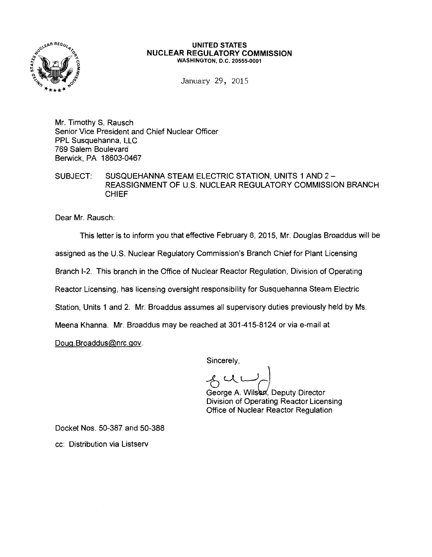

#### **UNITED STATES NUCLEAR REGULATORY COMMISSION**  WASHINGTON, D.C. 20555-0001

January 29, 2015

Mr. Timothy S. Rausch Senior Vice President and Chief Nuclear Officer PPL Susquehanna, LLC 769 Salem Boulevard Berwick, PA 18603-0467

SUBJECT: SUSQUEHANNA STEAM ELECTRIC STATION, UNITS 1 AND 2- REASSIGNMENT OF U.S. NUCLEAR REGULATORY COMMISSION BRANCH CHIEF

Dear Mr. Rausch:

This letter is to inform you that effective February 8, 2015, Mr. Douglas Broaddus will be assigned as the U.S. Nuclear Regulatory Commission's Branch Chief for Plant Licensing Branch 1-2. This branch in the Office of Nuclear Reactor Regulation, Division of Operating Reactor Licensing, has licensing oversight responsibility for Susquehanna Steam Electric Station, Units 1 and 2. Mr. Broaddus assumes all supervisory duties previously held by Ms. Meena Khanna. Mr. Broaddus may be reached at 301-415-8124 or via e-mail at Doug. Broaddus@nrc.gov.

Sincerely,

 $2$  um

George A. Wilson, Deputy Director Division of Operating Reactor Licensing Office of Nuclear Reactor Regulation

Docket Nos. 50-387 and 50-388

cc: Distribution via Listserv